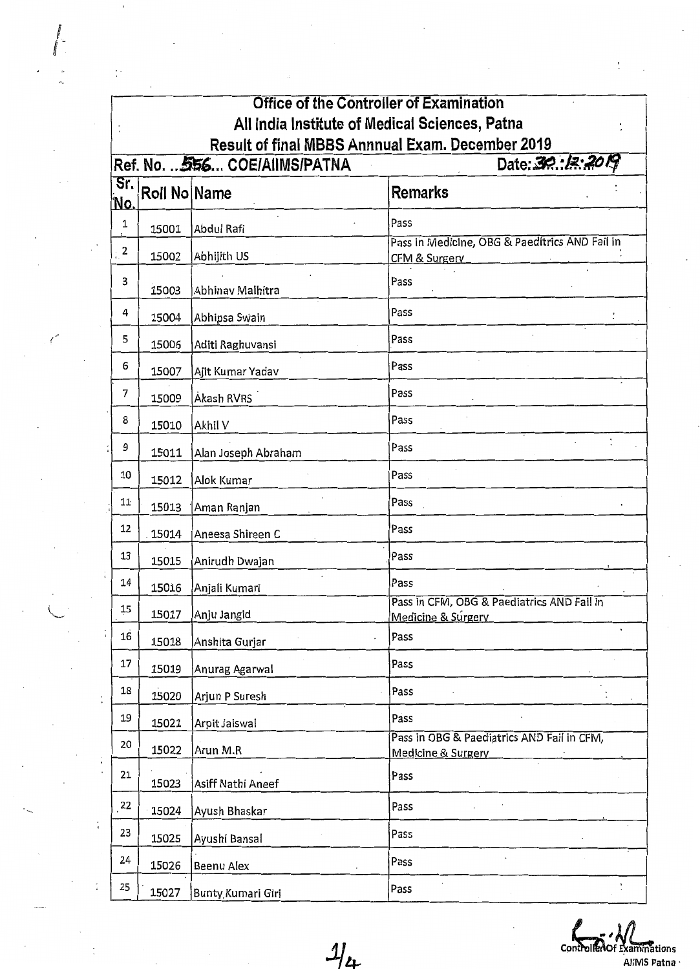|                                                                                                       | <b>Office of the Controller of Examination</b> |                     |                                                                            |  |  |  |  |
|-------------------------------------------------------------------------------------------------------|------------------------------------------------|---------------------|----------------------------------------------------------------------------|--|--|--|--|
|                                                                                                       | All India Institute of Medical Sciences, Patna |                     |                                                                            |  |  |  |  |
| Result of final MBBS Annnual Exam. December 2019<br>Date: 30:18:2019<br>Ref. No.  556 COE/AIIMS/PATNA |                                                |                     |                                                                            |  |  |  |  |
| Sr.                                                                                                   |                                                |                     |                                                                            |  |  |  |  |
| <u>'No.</u>                                                                                           | Roll No Name                                   |                     | <b>Remarks</b>                                                             |  |  |  |  |
| 1                                                                                                     | 15001                                          | Abdul Rafi          | Pass                                                                       |  |  |  |  |
| 2                                                                                                     | 15002                                          | Abhijith US         | Pass in Medicine, OBG & Paeditrics AND Fail in<br><b>CFM &amp; Surgery</b> |  |  |  |  |
| 3                                                                                                     | 15003                                          | Abhinav Malhitra    | Pass                                                                       |  |  |  |  |
| 4                                                                                                     | 15004                                          | Abhipsa Swain       | Pass                                                                       |  |  |  |  |
| 5                                                                                                     | 15006                                          | Aditi Raghuvansi    | Pass                                                                       |  |  |  |  |
| 6                                                                                                     | 15007                                          | Ajit Kumar Yadav    | Pass                                                                       |  |  |  |  |
| 7                                                                                                     | 15009                                          | Akash RVRS          | Pass                                                                       |  |  |  |  |
| 8                                                                                                     | 15010                                          | Akhil V             | Pass                                                                       |  |  |  |  |
| 9                                                                                                     | 15011                                          | Alan Joseph Abraham | Pass                                                                       |  |  |  |  |
| 10                                                                                                    | 15012                                          | Alok Kumar          | Pass                                                                       |  |  |  |  |
| 11                                                                                                    | 15013                                          | Aman Ranjan         | Pass                                                                       |  |  |  |  |
| 12                                                                                                    | 15014                                          | Aneesa Shireen C    | Pass                                                                       |  |  |  |  |
| 13                                                                                                    | 15015                                          | Anirudh Dwajan      | Pass                                                                       |  |  |  |  |
| 14                                                                                                    | 15016                                          | Anjali Kumari       | Pass                                                                       |  |  |  |  |
| 15                                                                                                    | 15017                                          | Anju Jangid         | Pass in CFM, OBG & Paediatrics AND Fail in<br>Medicine & Surgery           |  |  |  |  |
| 16                                                                                                    | 15018                                          | Anshita Gurjar      | Pass                                                                       |  |  |  |  |
| 17                                                                                                    | 15019                                          | Anurag Agarwal      | Pass                                                                       |  |  |  |  |
| 18                                                                                                    | 15020                                          | Arjun P Suresh      | Pass                                                                       |  |  |  |  |
| 19                                                                                                    | 15021                                          | Arpit Jaiswal       | Pass                                                                       |  |  |  |  |
| 20                                                                                                    | 15022                                          | Arun M.R            | Pass in OBG & Paediatrics AND Fail in CFM,<br>Medicine & Surgery           |  |  |  |  |
| 21                                                                                                    | 15023                                          | Asiff Nathi Aneef   | Pass                                                                       |  |  |  |  |
| 22                                                                                                    | 15024                                          | Ayush Bhaskar       | Pass                                                                       |  |  |  |  |
| 23                                                                                                    | 15025                                          | Ayushi Bansal       | Pass                                                                       |  |  |  |  |
| 24                                                                                                    | 15026                                          | Beenu Alex          | Pass                                                                       |  |  |  |  |
| 25                                                                                                    | 15027                                          | Bunty Kumari Giri   | Pass                                                                       |  |  |  |  |

/-

 $\mathcal{I}_{4}$  controlled of Examinations  $\mathcal{I}_{\text{AlINIS Patna}}$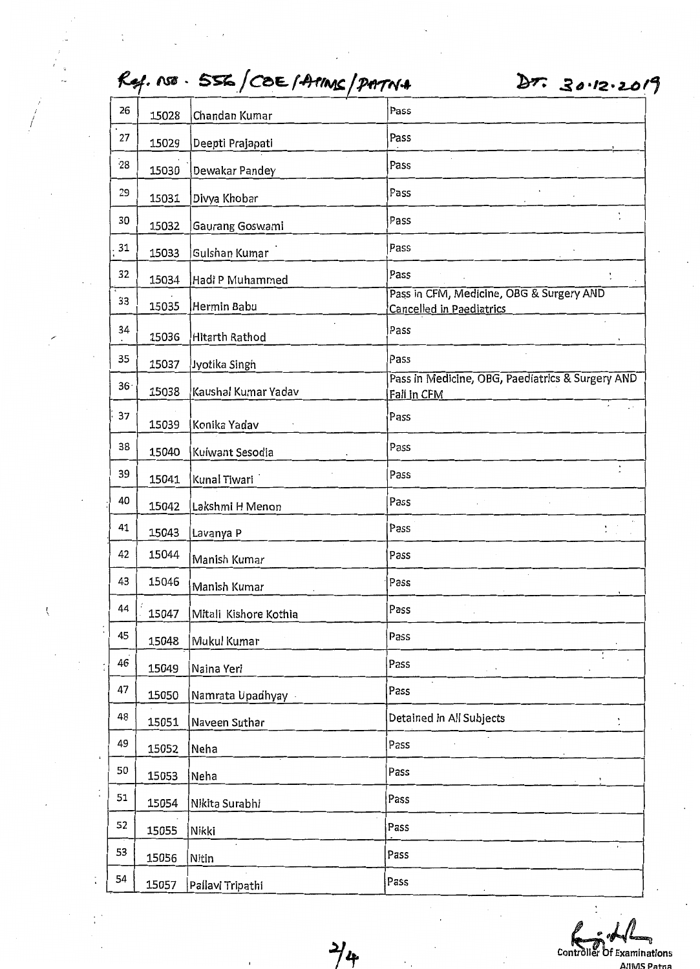|                 |                           | $\sim$ 7.100 $\sim$ 320/COE/TIME/PHTN+ | 57.3012.201                                                                 |
|-----------------|---------------------------|----------------------------------------|-----------------------------------------------------------------------------|
| 26              | 15028                     | Chandan Kumar                          | Pass                                                                        |
| 27              | 15029                     | Deepti Prajapati                       | Pass                                                                        |
| 28              | 15030                     | Dewakar Pandey                         | Pass                                                                        |
| 29              | 15031                     | Divya Khobar                           | Pass                                                                        |
| 30              | 15032                     | Gaurang Goswami                        | Pass                                                                        |
| 31              | 15033                     | Gulshan Kumar                          | Pass                                                                        |
| 32              | 15034                     | Hadi P Muhammed                        | Pass                                                                        |
| 33              | 15035                     | Hermin Babu                            | Pass in CFM, Medicine, OBG & Surgery AND<br><b>Cancelled in Paediatrics</b> |
| 34<br>$\bullet$ | 15036                     | <b>Hitarth Rathod</b>                  | Pass                                                                        |
| 35              | 15037                     | Jyotika Singh                          | Pass                                                                        |
| 36 <sup>1</sup> | 15038                     | Kaushal Kumar Yadav                    | Pass in Medicine, OBG, Paediatrics & Surgery AND<br>Fail in CFM             |
| 37              | 15039                     | Konika Yadav                           | Pass                                                                        |
| 38              | 15040                     | Kulwant Sesodia                        | Pass                                                                        |
| 39              | 15041                     | Kunal Tiwari                           | Pass                                                                        |
| 40              | 15042                     | Lakshmi H Menon                        | Pass                                                                        |
| 41              | 15043                     | Lavanya P                              | Pass                                                                        |
| 42              | 15044                     | Manish Kumar                           | Pass                                                                        |
| 43              | 15046                     | Manish Kumar                           | Pass                                                                        |
| 44              | 15047                     | Mitali Kishore Kothia                  | Pass                                                                        |
| 45              | 15048                     | Mukul Kumar                            | Pass                                                                        |
| 46              | 15049                     | Naina Yeri                             | Pass                                                                        |
| 47              | 15050                     | Namrata Upadhyay                       | Pass                                                                        |
| 48              | 15051                     | Naveen Suthar                          | Detained in All Subjects                                                    |
| 49              | 15052                     | Neha                                   | Pass                                                                        |
| 50              | 15053                     | Neha                                   | Pass                                                                        |
| 51              | 15054                     | Nikita Surabhi                         | Pass                                                                        |
| 52              | 15055                     | Nikki                                  | Pass                                                                        |
| 53              | 15056                     | Nitin                                  | $\bullet$ .<br>Pass                                                         |
| 54              | 15057<br>Pallavi Tripathi |                                        | Pass                                                                        |

Controller Of Examinations

AllMS Patna

*1't* 

## f c

*/* 

 $\langle$ 

1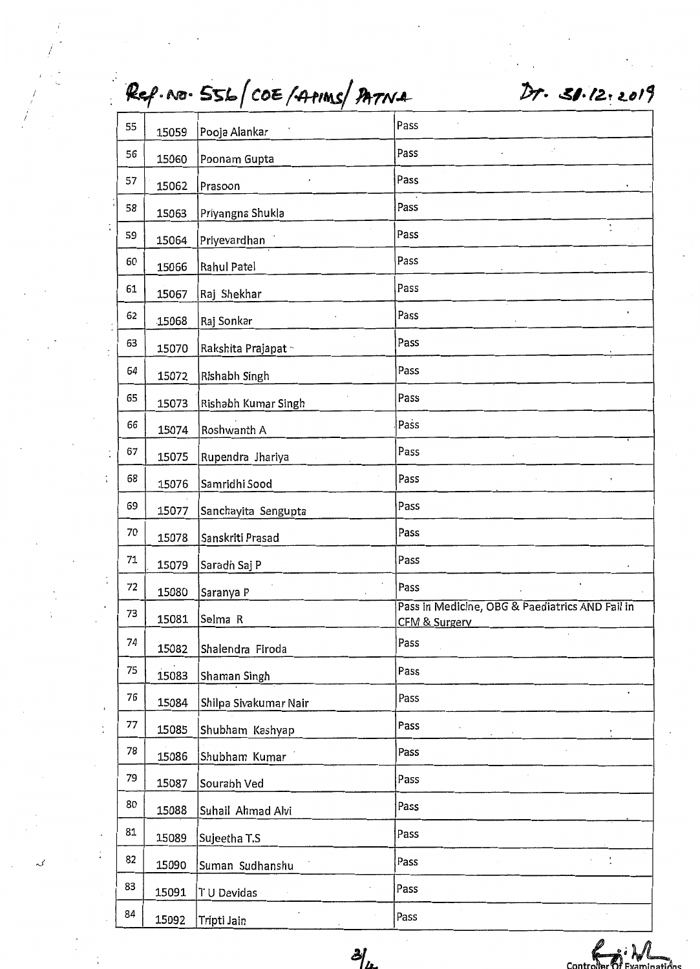|  |                |    |                | Ref. NO. 556/COE/APIMS/PATNA | Dr. 31.12.2019                                  |
|--|----------------|----|----------------|------------------------------|-------------------------------------------------|
|  |                | 55 | 15059          | Pooja Alankar                | Pass                                            |
|  |                | 56 | 15060          | Poonam Gupta                 | Pass                                            |
|  |                | 57 | 15062          | Prasoon                      | Pass                                            |
|  |                | 58 | 15063          | Priyangna Shukla             | Pass                                            |
|  |                | 59 | 15064          | Priyevardhan                 | $\ddot{\phantom{0}}$<br>Pass                    |
|  |                | 60 | 15066          | Rahul Patel                  | Pass                                            |
|  |                | 61 | 15067          | Raj Shekhar                  | Pass                                            |
|  |                | 62 | 15068          | Raj Sonkar                   | Pass                                            |
|  |                | 63 | 15070          | Rakshita Prajapat ··         | Pass                                            |
|  |                | 64 | 15072          | Rishabh Singh                | Pass                                            |
|  |                | 65 | 15073          | Rishabh Kumar Singh          | Pass                                            |
|  |                | 66 | 15074          | Roshwanth A                  | Pass                                            |
|  |                | 67 | 15075          | Rupendra Jhariya             | Pass                                            |
|  |                | 68 | 15076          | Samridhi Sood                | Pass                                            |
|  |                | 69 | 15077          | Sanchayita Sengupta          | Pass                                            |
|  |                | 70 | 15078          | Sanskriti Prasad             | Pass                                            |
|  |                | 71 | 15079          | Saradh Saj P                 | Pass                                            |
|  |                | 72 | 15080          | Saranya P                    | Pass                                            |
|  |                | 73 | 15081          | Selma R                      | Pass in Medicine, OBG & Paediatrics AND Fail in |
|  |                | 74 |                |                              | CFM & Surgery<br>Pass                           |
|  |                | 75 | 15082          | Shalendra Firoda             | Pass                                            |
|  |                | 76 | 15083          | Shaman Singh                 | Pass                                            |
|  | $\ddot{\cdot}$ | 77 | 15084          | Shilpa Sivakumar Nair        | Pass                                            |
|  |                | 78 | 15085<br>15086 | Shubham Kashyap              | Pass                                            |
|  |                | 79 |                | Shubham Kumar                | Pass                                            |
|  |                | 80 | 15087          | Sourabh Ved                  | Pass                                            |
|  |                | 81 | 15088          | Suhail Ahmad Alvi            | Pass                                            |
|  |                | 82 | 15089          | Sujeetha T.S                 | Pass                                            |
|  |                | 83 | 15090          | Suman Sudhanshu              | Pass                                            |
|  |                | 84 | 15091          | TU Devidas                   |                                                 |
|  |                |    | 15092          | Tripti Jain                  | Pass                                            |

' I

 $\cdot$ 

 $\frac{1}{4}$ 

 $\frac{\partial f}{\partial x}$  controller  $\frac{\partial f}{\partial y}$  controller  $\frac{\partial f}{\partial y}$  controller  $\frac{\partial f}{\partial y}$  controller  $\frac{\partial f}{\partial z}$